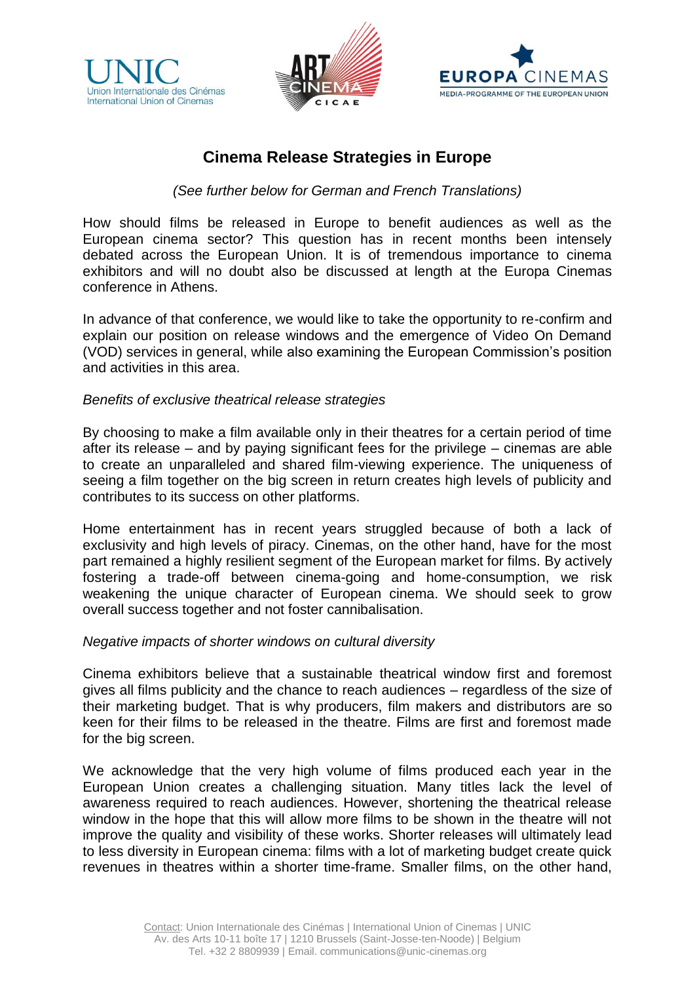





# **Cinema Release Strategies in Europe**

# *(See further below for German and French Translations)*

How should films be released in Europe to benefit audiences as well as the European cinema sector? This question has in recent months been intensely debated across the European Union. It is of tremendous importance to cinema exhibitors and will no doubt also be discussed at length at the Europa Cinemas conference in Athens.

In advance of that conference, we would like to take the opportunity to re-confirm and explain our position on release windows and the emergence of Video On Demand (VOD) services in general, while also examining the European Commission's position and activities in this area.

## *Benefits of exclusive theatrical release strategies*

By choosing to make a film available only in their theatres for a certain period of time after its release – and by paying significant fees for the privilege – cinemas are able to create an unparalleled and shared film-viewing experience. The uniqueness of seeing a film together on the big screen in return creates high levels of publicity and contributes to its success on other platforms.

Home entertainment has in recent years struggled because of both a lack of exclusivity and high levels of piracy. Cinemas, on the other hand, have for the most part remained a highly resilient segment of the European market for films. By actively fostering a trade-off between cinema-going and home-consumption, we risk weakening the unique character of European cinema. We should seek to grow overall success together and not foster cannibalisation.

## *Negative impacts of shorter windows on cultural diversity*

Cinema exhibitors believe that a sustainable theatrical window first and foremost gives all films publicity and the chance to reach audiences – regardless of the size of their marketing budget. That is why producers, film makers and distributors are so keen for their films to be released in the theatre. Films are first and foremost made for the big screen.

We acknowledge that the very high volume of films produced each year in the European Union creates a challenging situation. Many titles lack the level of awareness required to reach audiences. However, shortening the theatrical release window in the hope that this will allow more films to be shown in the theatre will not improve the quality and visibility of these works. Shorter releases will ultimately lead to less diversity in European cinema: films with a lot of marketing budget create quick revenues in theatres within a shorter time-frame. Smaller films, on the other hand,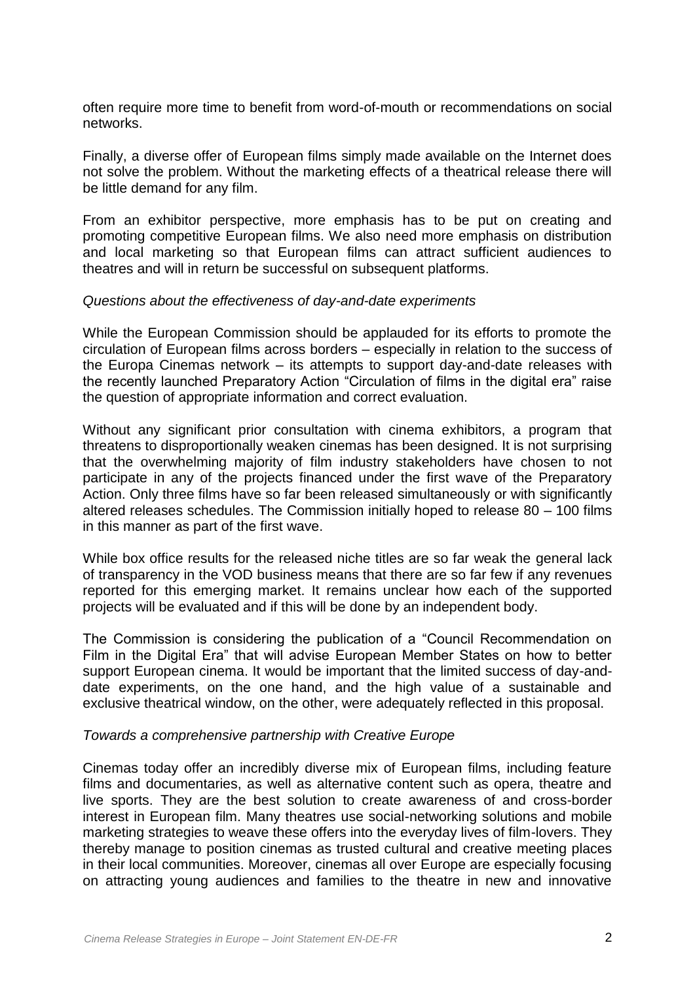often require more time to benefit from word-of-mouth or recommendations on social networks.

Finally, a diverse offer of European films simply made available on the Internet does not solve the problem. Without the marketing effects of a theatrical release there will be little demand for any film.

From an exhibitor perspective, more emphasis has to be put on creating and promoting competitive European films. We also need more emphasis on distribution and local marketing so that European films can attract sufficient audiences to theatres and will in return be successful on subsequent platforms.

## *Questions about the effectiveness of day-and-date experiments*

While the European Commission should be applauded for its efforts to promote the circulation of European films across borders – especially in relation to the success of the Europa Cinemas network – its attempts to support day-and-date releases with the recently launched Preparatory Action "Circulation of films in the digital era" raise the question of appropriate information and correct evaluation.

Without any significant prior consultation with cinema exhibitors, a program that threatens to disproportionally weaken cinemas has been designed. It is not surprising that the overwhelming majority of film industry stakeholders have chosen to not participate in any of the projects financed under the first wave of the Preparatory Action. Only three films have so far been released simultaneously or with significantly altered releases schedules. The Commission initially hoped to release 80 – 100 films in this manner as part of the first wave.

While box office results for the released niche titles are so far weak the general lack of transparency in the VOD business means that there are so far few if any revenues reported for this emerging market. It remains unclear how each of the supported projects will be evaluated and if this will be done by an independent body.

The Commission is considering the publication of a "Council Recommendation on Film in the Digital Era" that will advise European Member States on how to better support European cinema. It would be important that the limited success of day-anddate experiments, on the one hand, and the high value of a sustainable and exclusive theatrical window, on the other, were adequately reflected in this proposal.

## *Towards a comprehensive partnership with Creative Europe*

Cinemas today offer an incredibly diverse mix of European films, including feature films and documentaries, as well as alternative content such as opera, theatre and live sports. They are the best solution to create awareness of and cross-border interest in European film. Many theatres use social-networking solutions and mobile marketing strategies to weave these offers into the everyday lives of film-lovers. They thereby manage to position cinemas as trusted cultural and creative meeting places in their local communities. Moreover, cinemas all over Europe are especially focusing on attracting young audiences and families to the theatre in new and innovative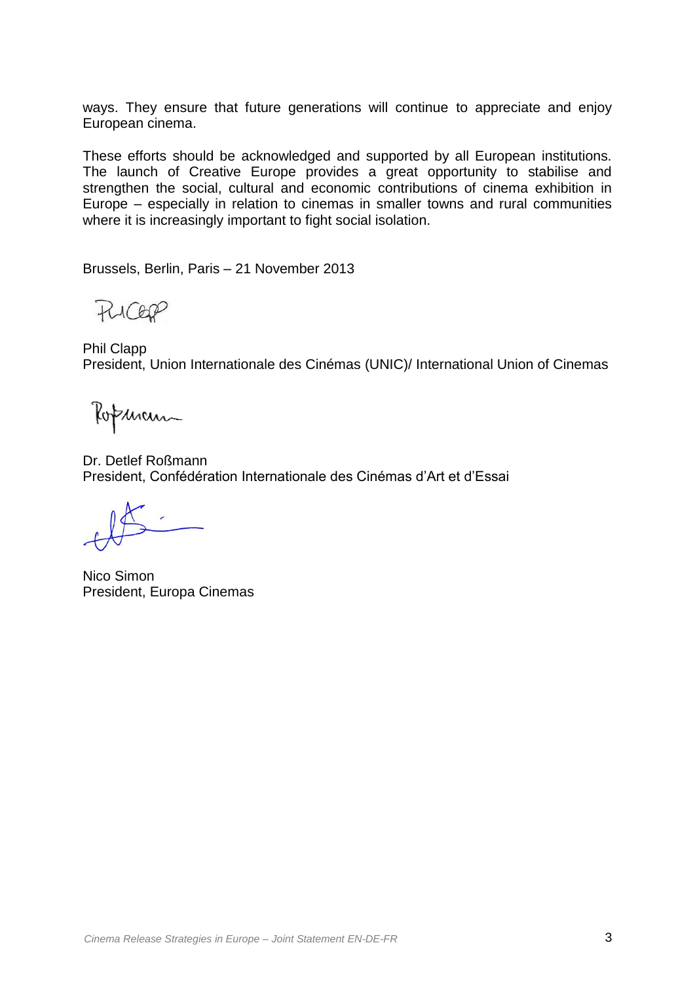ways. They ensure that future generations will continue to appreciate and enjoy European cinema.

These efforts should be acknowledged and supported by all European institutions. The launch of Creative Europe provides a great opportunity to stabilise and strengthen the social, cultural and economic contributions of cinema exhibition in Europe – especially in relation to cinemas in smaller towns and rural communities where it is increasingly important to fight social isolation.

Brussels, Berlin, Paris – 21 November 2013

RICEP

Phil Clapp President, Union Internationale des Cinémas (UNIC)/ International Union of Cinemas

Ropenan

Dr. Detlef Roßmann President, Confédération Internationale des Cinémas d'Art et d'Essai

Nico Simon President, Europa Cinemas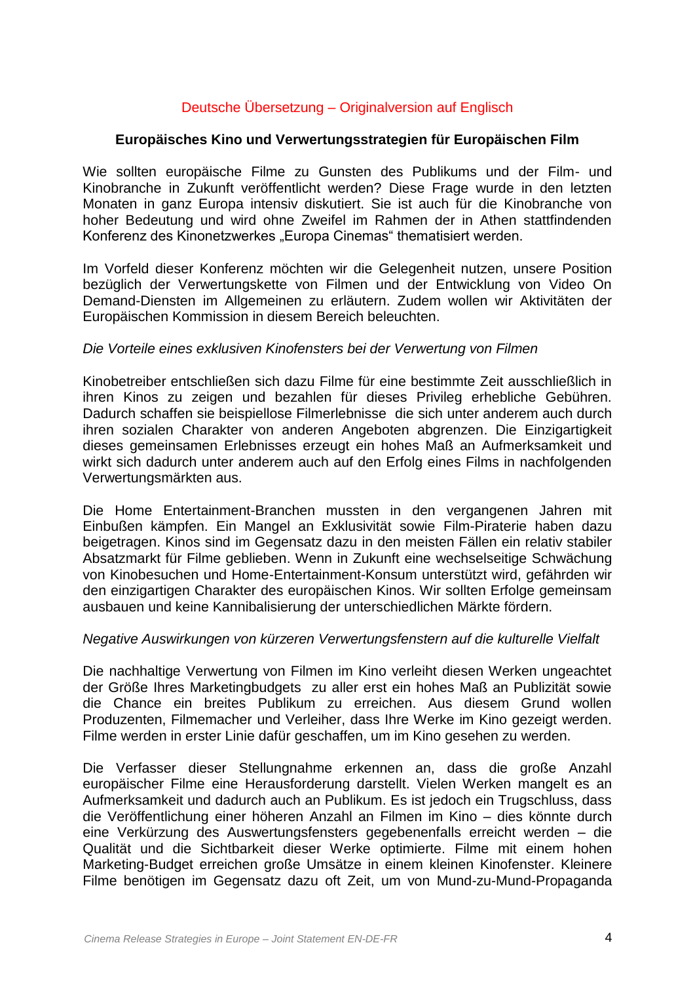# Deutsche Übersetzung – Originalversion auf Englisch

## **Europäisches Kino und Verwertungsstrategien für Europäischen Film**

Wie sollten europäische Filme zu Gunsten des Publikums und der Film- und Kinobranche in Zukunft veröffentlicht werden? Diese Frage wurde in den letzten Monaten in ganz Europa intensiv diskutiert. Sie ist auch für die Kinobranche von hoher Bedeutung und wird ohne Zweifel im Rahmen der in Athen stattfindenden Konferenz des Kinonetzwerkes "Europa Cinemas" thematisiert werden.

Im Vorfeld dieser Konferenz möchten wir die Gelegenheit nutzen, unsere Position bezüglich der Verwertungskette von Filmen und der Entwicklung von Video On Demand-Diensten im Allgemeinen zu erläutern. Zudem wollen wir Aktivitäten der Europäischen Kommission in diesem Bereich beleuchten.

## *Die Vorteile eines exklusiven Kinofensters bei der Verwertung von Filmen*

Kinobetreiber entschließen sich dazu Filme für eine bestimmte Zeit ausschließlich in ihren Kinos zu zeigen und bezahlen für dieses Privileg erhebliche Gebühren. Dadurch schaffen sie beispiellose Filmerlebnisse die sich unter anderem auch durch ihren sozialen Charakter von anderen Angeboten abgrenzen. Die Einzigartigkeit dieses gemeinsamen Erlebnisses erzeugt ein hohes Maß an Aufmerksamkeit und wirkt sich dadurch unter anderem auch auf den Erfolg eines Films in nachfolgenden Verwertungsmärkten aus.

Die Home Entertainment-Branchen mussten in den vergangenen Jahren mit Einbußen kämpfen. Ein Mangel an Exklusivität sowie Film-Piraterie haben dazu beigetragen. Kinos sind im Gegensatz dazu in den meisten Fällen ein relativ stabiler Absatzmarkt für Filme geblieben. Wenn in Zukunft eine wechselseitige Schwächung von Kinobesuchen und Home-Entertainment-Konsum unterstützt wird, gefährden wir den einzigartigen Charakter des europäischen Kinos. Wir sollten Erfolge gemeinsam ausbauen und keine Kannibalisierung der unterschiedlichen Märkte fördern.

## *Negative Auswirkungen von kürzeren Verwertungsfenstern auf die kulturelle Vielfalt*

Die nachhaltige Verwertung von Filmen im Kino verleiht diesen Werken ungeachtet der Größe Ihres Marketingbudgets zu aller erst ein hohes Maß an Publizität sowie die Chance ein breites Publikum zu erreichen. Aus diesem Grund wollen Produzenten, Filmemacher und Verleiher, dass Ihre Werke im Kino gezeigt werden. Filme werden in erster Linie dafür geschaffen, um im Kino gesehen zu werden.

Die Verfasser dieser Stellungnahme erkennen an, dass die große Anzahl europäischer Filme eine Herausforderung darstellt. Vielen Werken mangelt es an Aufmerksamkeit und dadurch auch an Publikum. Es ist jedoch ein Trugschluss, dass die Veröffentlichung einer höheren Anzahl an Filmen im Kino – dies könnte durch eine Verkürzung des Auswertungsfensters gegebenenfalls erreicht werden – die Qualität und die Sichtbarkeit dieser Werke optimierte. Filme mit einem hohen Marketing-Budget erreichen große Umsätze in einem kleinen Kinofenster. Kleinere Filme benötigen im Gegensatz dazu oft Zeit, um von Mund-zu-Mund-Propaganda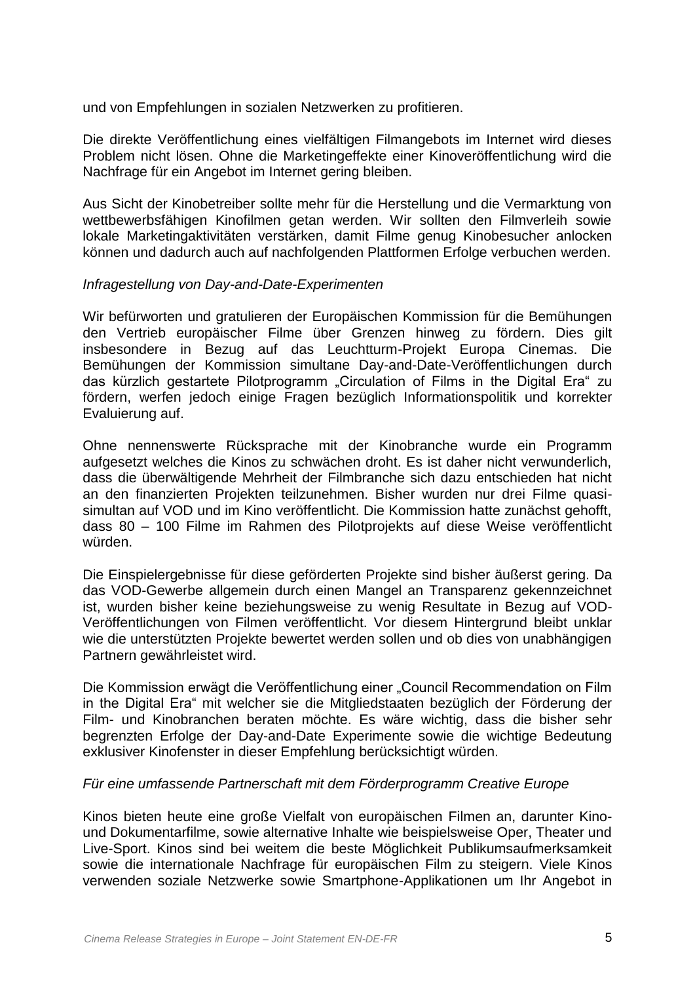und von Empfehlungen in sozialen Netzwerken zu profitieren.

Die direkte Veröffentlichung eines vielfältigen Filmangebots im Internet wird dieses Problem nicht lösen. Ohne die Marketingeffekte einer Kinoveröffentlichung wird die Nachfrage für ein Angebot im Internet gering bleiben.

Aus Sicht der Kinobetreiber sollte mehr für die Herstellung und die Vermarktung von wettbewerbsfähigen Kinofilmen getan werden. Wir sollten den Filmverleih sowie lokale Marketingaktivitäten verstärken, damit Filme genug Kinobesucher anlocken können und dadurch auch auf nachfolgenden Plattformen Erfolge verbuchen werden.

## *Infragestellung von Day-and-Date-Experimenten*

Wir befürworten und gratulieren der Europäischen Kommission für die Bemühungen den Vertrieb europäischer Filme über Grenzen hinweg zu fördern. Dies gilt insbesondere in Bezug auf das Leuchtturm-Projekt Europa Cinemas. Die Bemühungen der Kommission simultane Day-and-Date-Veröffentlichungen durch das kürzlich gestartete Pilotprogramm "Circulation of Films in the Digital Era" zu fördern, werfen jedoch einige Fragen bezüglich Informationspolitik und korrekter Evaluierung auf.

Ohne nennenswerte Rücksprache mit der Kinobranche wurde ein Programm aufgesetzt welches die Kinos zu schwächen droht. Es ist daher nicht verwunderlich, dass die überwältigende Mehrheit der Filmbranche sich dazu entschieden hat nicht an den finanzierten Projekten teilzunehmen. Bisher wurden nur drei Filme quasisimultan auf VOD und im Kino veröffentlicht. Die Kommission hatte zunächst gehofft, dass 80 – 100 Filme im Rahmen des Pilotprojekts auf diese Weise veröffentlicht würden.

Die Einspielergebnisse für diese geförderten Projekte sind bisher äußerst gering. Da das VOD-Gewerbe allgemein durch einen Mangel an Transparenz gekennzeichnet ist, wurden bisher keine beziehungsweise zu wenig Resultate in Bezug auf VOD-Veröffentlichungen von Filmen veröffentlicht. Vor diesem Hintergrund bleibt unklar wie die unterstützten Projekte bewertet werden sollen und ob dies von unabhängigen Partnern gewährleistet wird.

Die Kommission erwägt die Veröffentlichung einer "Council Recommendation on Film in the Digital Era" mit welcher sie die Mitgliedstaaten bezüglich der Förderung der Film- und Kinobranchen beraten möchte. Es wäre wichtig, dass die bisher sehr begrenzten Erfolge der Day-and-Date Experimente sowie die wichtige Bedeutung exklusiver Kinofenster in dieser Empfehlung berücksichtigt würden.

## *Für eine umfassende Partnerschaft mit dem Förderprogramm Creative Europe*

Kinos bieten heute eine große Vielfalt von europäischen Filmen an, darunter Kinound Dokumentarfilme, sowie alternative Inhalte wie beispielsweise Oper, Theater und Live-Sport. Kinos sind bei weitem die beste Möglichkeit Publikumsaufmerksamkeit sowie die internationale Nachfrage für europäischen Film zu steigern. Viele Kinos verwenden soziale Netzwerke sowie Smartphone-Applikationen um Ihr Angebot in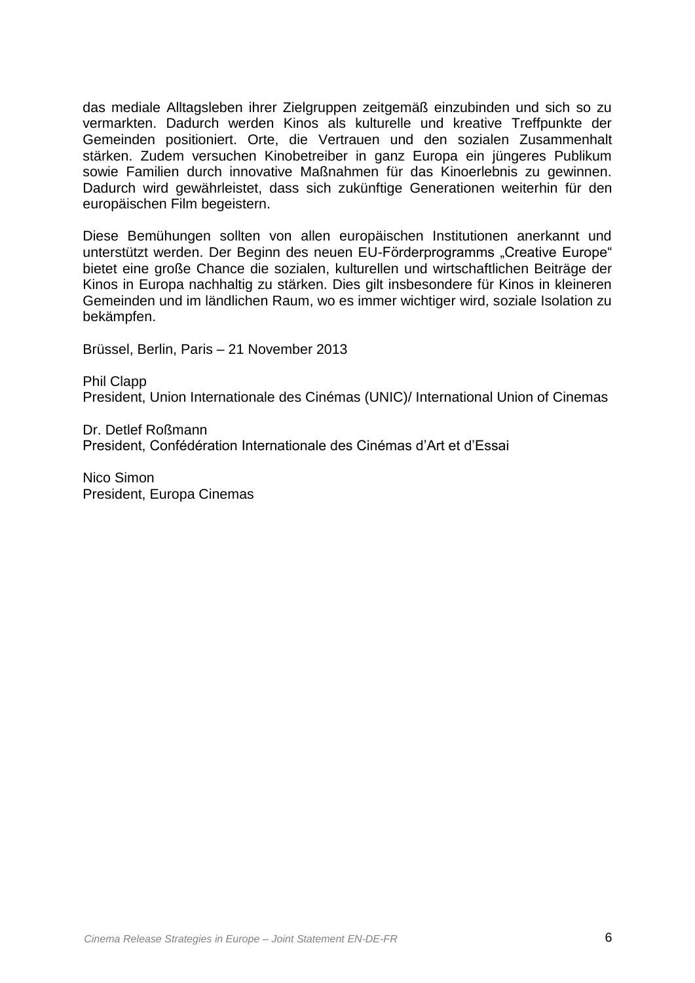das mediale Alltagsleben ihrer Zielgruppen zeitgemäß einzubinden und sich so zu vermarkten. Dadurch werden Kinos als kulturelle und kreative Treffpunkte der Gemeinden positioniert. Orte, die Vertrauen und den sozialen Zusammenhalt stärken. Zudem versuchen Kinobetreiber in ganz Europa ein jüngeres Publikum sowie Familien durch innovative Maßnahmen für das Kinoerlebnis zu gewinnen. Dadurch wird gewährleistet, dass sich zukünftige Generationen weiterhin für den europäischen Film begeistern.

Diese Bemühungen sollten von allen europäischen Institutionen anerkannt und unterstützt werden. Der Beginn des neuen EU-Förderprogramms "Creative Europe" bietet eine große Chance die sozialen, kulturellen und wirtschaftlichen Beiträge der Kinos in Europa nachhaltig zu stärken. Dies gilt insbesondere für Kinos in kleineren Gemeinden und im ländlichen Raum, wo es immer wichtiger wird, soziale Isolation zu bekämpfen.

Brüssel, Berlin, Paris – 21 November 2013

Phil Clapp President, Union Internationale des Cinémas (UNIC)/ International Union of Cinemas

Dr. Detlef Roßmann President, Confédération Internationale des Cinémas d'Art et d'Essai

Nico Simon President, Europa Cinemas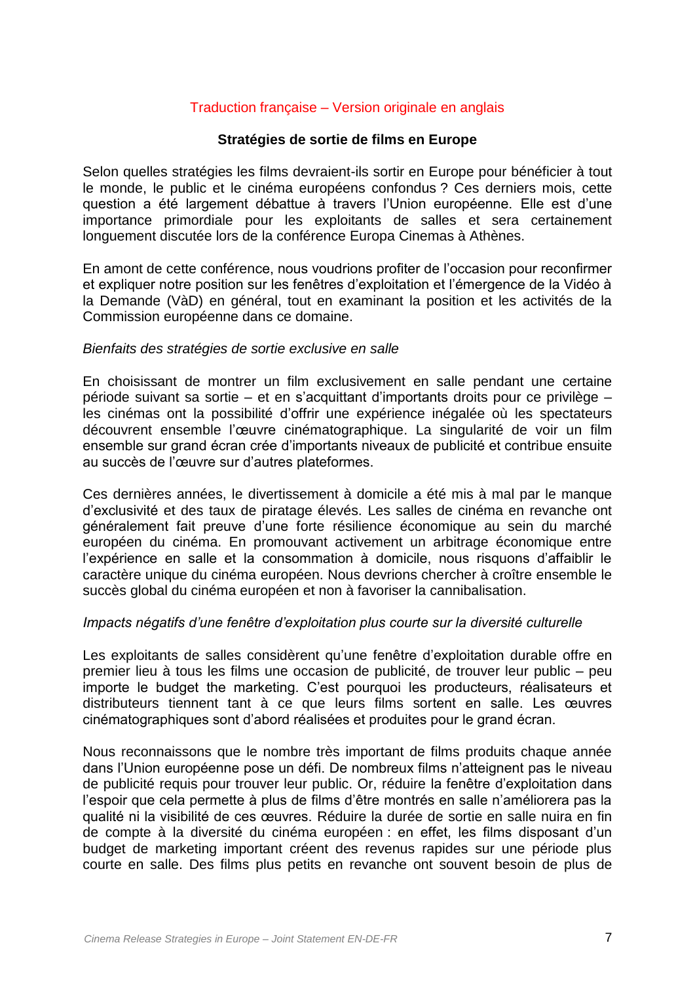## Traduction française – Version originale en anglais

## **Stratégies de sortie de films en Europe**

Selon quelles stratégies les films devraient-ils sortir en Europe pour bénéficier à tout le monde, le public et le cinéma européens confondus ? Ces derniers mois, cette question a été largement débattue à travers l'Union européenne. Elle est d'une importance primordiale pour les exploitants de salles et sera certainement longuement discutée lors de la conférence Europa Cinemas à Athènes.

En amont de cette conférence, nous voudrions profiter de l'occasion pour reconfirmer et expliquer notre position sur les fenêtres d'exploitation et l'émergence de la Vidéo à la Demande (VàD) en général, tout en examinant la position et les activités de la Commission européenne dans ce domaine.

#### *Bienfaits des stratégies de sortie exclusive en salle*

En choisissant de montrer un film exclusivement en salle pendant une certaine période suivant sa sortie – et en s'acquittant d'importants droits pour ce privilège – les cinémas ont la possibilité d'offrir une expérience inégalée où les spectateurs découvrent ensemble l'œuvre cinématographique. La singularité de voir un film ensemble sur grand écran crée d'importants niveaux de publicité et contribue ensuite au succès de l'œuvre sur d'autres plateformes.

Ces dernières années, le divertissement à domicile a été mis à mal par le manque d'exclusivité et des taux de piratage élevés. Les salles de cinéma en revanche ont généralement fait preuve d'une forte résilience économique au sein du marché européen du cinéma. En promouvant activement un arbitrage économique entre l'expérience en salle et la consommation à domicile, nous risquons d'affaiblir le caractère unique du cinéma européen. Nous devrions chercher à croître ensemble le succès global du cinéma européen et non à favoriser la cannibalisation.

## *Impacts négatifs d'une fenêtre d'exploitation plus courte sur la diversité culturelle*

Les exploitants de salles considèrent qu'une fenêtre d'exploitation durable offre en premier lieu à tous les films une occasion de publicité, de trouver leur public – peu importe le budget the marketing. C'est pourquoi les producteurs, réalisateurs et distributeurs tiennent tant à ce que leurs films sortent en salle. Les œuvres cinématographiques sont d'abord réalisées et produites pour le grand écran.

Nous reconnaissons que le nombre très important de films produits chaque année dans l'Union européenne pose un défi. De nombreux films n'atteignent pas le niveau de publicité requis pour trouver leur public. Or, réduire la fenêtre d'exploitation dans l'espoir que cela permette à plus de films d'être montrés en salle n'améliorera pas la qualité ni la visibilité de ces œuvres. Réduire la durée de sortie en salle nuira en fin de compte à la diversité du cinéma européen : en effet, les films disposant d'un budget de marketing important créent des revenus rapides sur une période plus courte en salle. Des films plus petits en revanche ont souvent besoin de plus de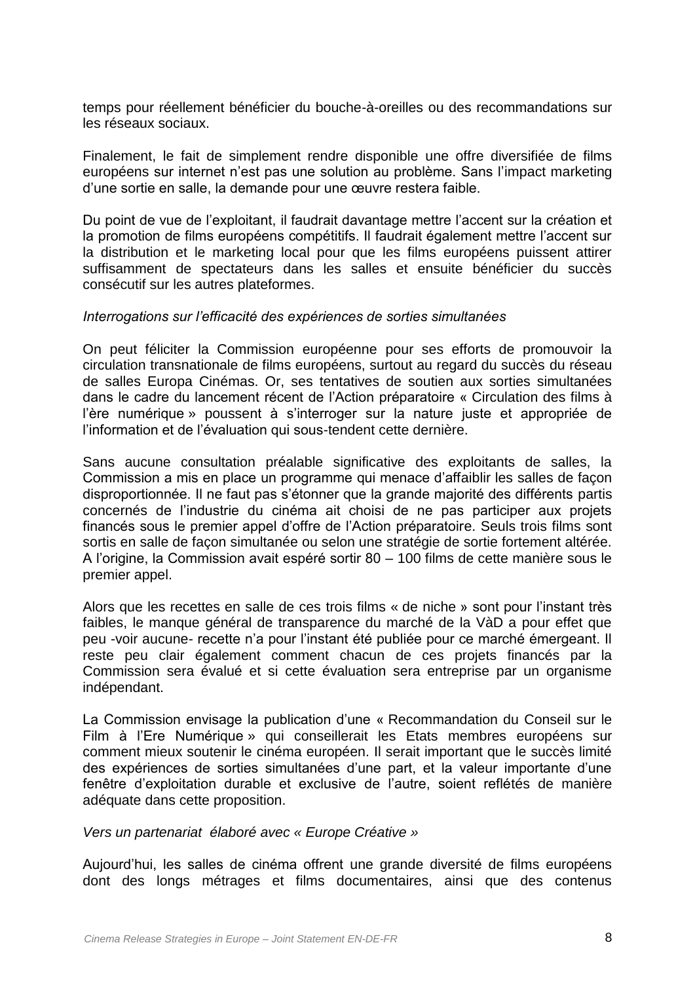temps pour réellement bénéficier du bouche-à-oreilles ou des recommandations sur les réseaux sociaux.

Finalement, le fait de simplement rendre disponible une offre diversifiée de films européens sur internet n'est pas une solution au problème. Sans l'impact marketing d'une sortie en salle, la demande pour une œuvre restera faible.

Du point de vue de l'exploitant, il faudrait davantage mettre l'accent sur la création et la promotion de films européens compétitifs. Il faudrait également mettre l'accent sur la distribution et le marketing local pour que les films européens puissent attirer suffisamment de spectateurs dans les salles et ensuite bénéficier du succès consécutif sur les autres plateformes.

## *Interrogations sur l'efficacité des expériences de sorties simultanées*

On peut féliciter la Commission européenne pour ses efforts de promouvoir la circulation transnationale de films européens, surtout au regard du succès du réseau de salles Europa Cinémas. Or, ses tentatives de soutien aux sorties simultanées dans le cadre du lancement récent de l'Action préparatoire « Circulation des films à l'ère numérique » poussent à s'interroger sur la nature juste et appropriée de l'information et de l'évaluation qui sous-tendent cette dernière.

Sans aucune consultation préalable significative des exploitants de salles, la Commission a mis en place un programme qui menace d'affaiblir les salles de façon disproportionnée. Il ne faut pas s'étonner que la grande majorité des différents partis concernés de l'industrie du cinéma ait choisi de ne pas participer aux projets financés sous le premier appel d'offre de l'Action préparatoire. Seuls trois films sont sortis en salle de façon simultanée ou selon une stratégie de sortie fortement altérée. A l'origine, la Commission avait espéré sortir 80 – 100 films de cette manière sous le premier appel.

Alors que les recettes en salle de ces trois films « de niche » sont pour l'instant très faibles, le manque général de transparence du marché de la VàD a pour effet que peu -voir aucune- recette n'a pour l'instant été publiée pour ce marché émergeant. Il reste peu clair également comment chacun de ces projets financés par la Commission sera évalué et si cette évaluation sera entreprise par un organisme indépendant.

La Commission envisage la publication d'une « Recommandation du Conseil sur le Film à l'Ere Numérique » qui conseillerait les Etats membres européens sur comment mieux soutenir le cinéma européen. Il serait important que le succès limité des expériences de sorties simultanées d'une part, et la valeur importante d'une fenêtre d'exploitation durable et exclusive de l'autre, soient reflétés de manière adéquate dans cette proposition.

*Vers un partenariat élaboré avec « Europe Créative »*

Aujourd'hui, les salles de cinéma offrent une grande diversité de films européens dont des longs métrages et films documentaires, ainsi que des contenus